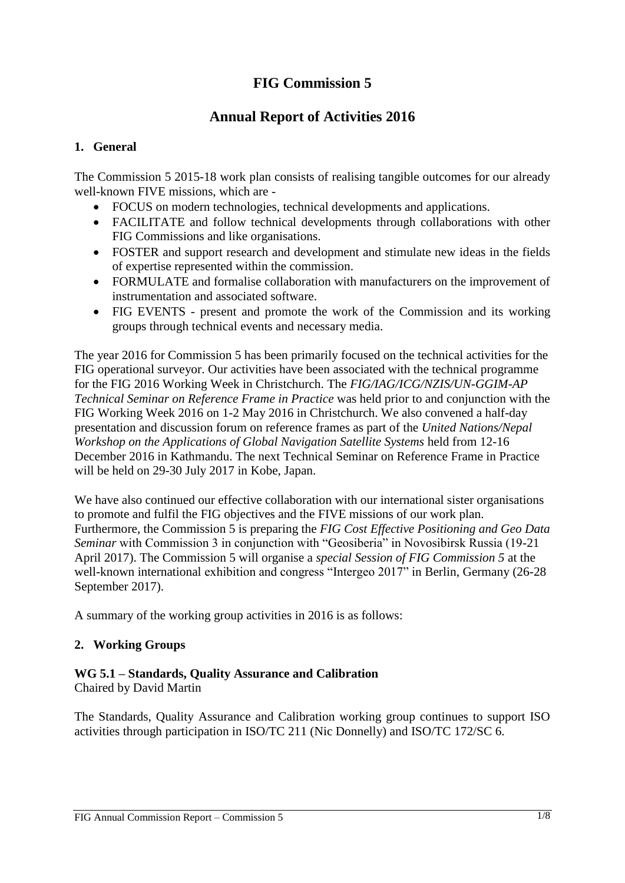# **FIG Commission 5**

## **Annual Report of Activities 2016**

## **1. General**

The Commission 5 2015-18 work plan consists of realising tangible outcomes for our already well-known FIVE missions, which are -

- FOCUS on modern technologies, technical developments and applications.
- FACILITATE and follow technical developments through collaborations with other FIG Commissions and like organisations.
- FOSTER and support research and development and stimulate new ideas in the fields of expertise represented within the commission.
- FORMULATE and formalise collaboration with manufacturers on the improvement of instrumentation and associated software.
- FIG EVENTS present and promote the work of the Commission and its working groups through technical events and necessary media.

The year 2016 for Commission 5 has been primarily focused on the technical activities for the FIG operational surveyor. Our activities have been associated with the technical programme for the FIG 2016 Working Week in Christchurch. The *FIG/IAG/ICG/NZIS/UN-GGIM-AP Technical Seminar on Reference Frame in Practice* was held prior to and conjunction with the FIG Working Week 2016 on 1-2 May 2016 in Christchurch. We also convened a half-day presentation and discussion forum on reference frames as part of the *United Nations/Nepal Workshop on the Applications of Global Navigation Satellite Systems* held from 12-16 December 2016 in Kathmandu. The next Technical Seminar on Reference Frame in Practice will be held on 29-30 July 2017 in Kobe, Japan.

We have also continued our effective collaboration with our international sister organisations to promote and fulfil the FIG objectives and the FIVE missions of our work plan. Furthermore, the Commission 5 is preparing the *FIG Cost Effective Positioning and Geo Data Seminar* with Commission 3 in conjunction with "Geosiberia" in Novosibirsk Russia (19-21 April 2017). The Commission 5 will organise a *special Session of FIG Commission 5* at the well-known international exhibition and congress "Intergeo 2017" in Berlin, Germany (26-28 September 2017).

A summary of the working group activities in 2016 is as follows:

## **2. Working Groups**

## **WG 5.1 – Standards, Quality Assurance and Calibration**

Chaired by David Martin

The Standards, Quality Assurance and Calibration working group continues to support ISO activities through participation in ISO/TC 211 (Nic Donnelly) and ISO/TC 172/SC 6.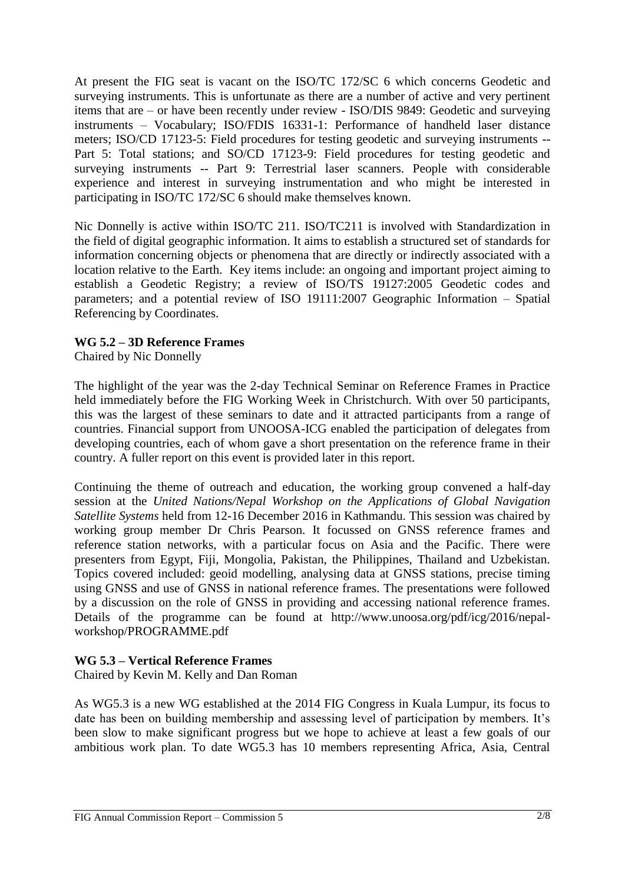At present the FIG seat is vacant on the ISO/TC 172/SC 6 which concerns Geodetic and surveying instruments. This is unfortunate as there are a number of active and very pertinent items that are – or have been recently under review - ISO/DIS 9849: Geodetic and surveying instruments – Vocabulary; ISO/FDIS 16331-1: Performance of handheld laser distance meters; ISO/CD 17123-5: Field procedures for testing geodetic and surveying instruments -- Part 5: Total stations; and SO/CD 17123-9: Field procedures for testing geodetic and surveying instruments -- Part 9: Terrestrial laser scanners. People with considerable experience and interest in surveying instrumentation and who might be interested in participating in ISO/TC 172/SC 6 should make themselves known.

Nic Donnelly is active within ISO/TC 211. ISO/TC211 is involved with Standardization in the field of digital geographic information. It aims to establish a structured set of standards for information concerning objects or phenomena that are directly or indirectly associated with a location relative to the Earth. Key items include: an ongoing and important project aiming to establish a Geodetic Registry; a review of ISO/TS 19127:2005 Geodetic codes and parameters; and a potential review of ISO 19111:2007 Geographic Information – Spatial Referencing by Coordinates.

## **WG 5.2 – 3D Reference Frames**

Chaired by Nic Donnelly

The highlight of the year was the 2-day Technical Seminar on Reference Frames in Practice held immediately before the FIG Working Week in Christchurch. With over 50 participants, this was the largest of these seminars to date and it attracted participants from a range of countries. Financial support from UNOOSA-ICG enabled the participation of delegates from developing countries, each of whom gave a short presentation on the reference frame in their country. A fuller report on this event is provided later in this report.

Continuing the theme of outreach and education, the working group convened a half-day session at the *United Nations/Nepal Workshop on the Applications of Global Navigation Satellite Systems* held from 12-16 December 2016 in Kathmandu. This session was chaired by working group member Dr Chris Pearson. It focussed on GNSS reference frames and reference station networks, with a particular focus on Asia and the Pacific. There were presenters from Egypt, Fiji, Mongolia, Pakistan, the Philippines, Thailand and Uzbekistan. Topics covered included: geoid modelling, analysing data at GNSS stations, precise timing using GNSS and use of GNSS in national reference frames. The presentations were followed by a discussion on the role of GNSS in providing and accessing national reference frames. Details of the programme can be found at http://www.unoosa.org/pdf/icg/2016/nepalworkshop/PROGRAMME.pdf

#### **WG 5.3 – Vertical Reference Frames**

Chaired by Kevin M. Kelly and Dan Roman

As WG5.3 is a new WG established at the 2014 FIG Congress in Kuala Lumpur, its focus to date has been on building membership and assessing level of participation by members. It's been slow to make significant progress but we hope to achieve at least a few goals of our ambitious work plan. To date WG5.3 has 10 members representing Africa, Asia, Central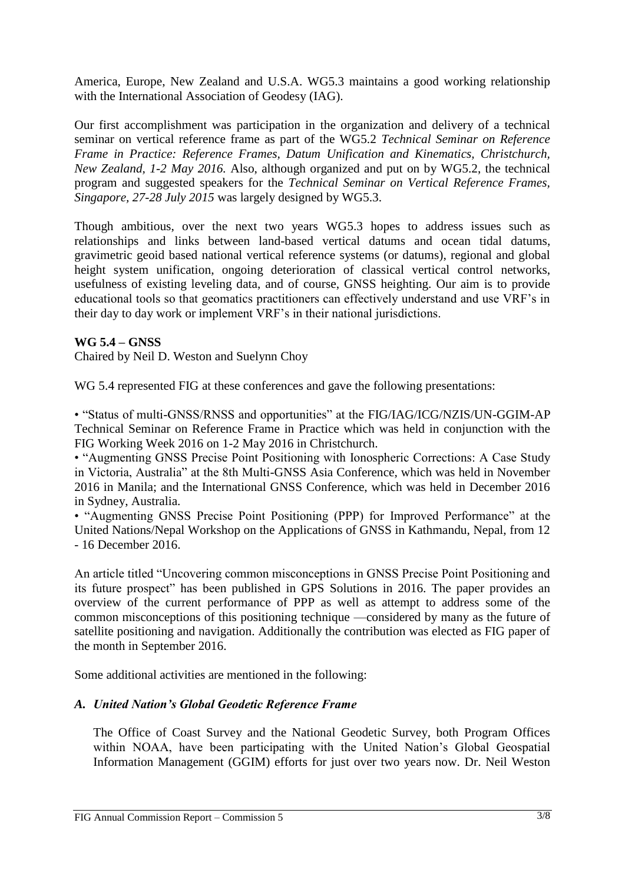America, Europe, New Zealand and U.S.A. WG5.3 maintains a good working relationship with the International Association of Geodesy (IAG).

Our first accomplishment was participation in the organization and delivery of a technical seminar on vertical reference frame as part of the WG5.2 *Technical Seminar on Reference Frame in Practice: Reference Frames, Datum Unification and Kinematics, Christchurch, New Zealand, 1-2 May 2016.* Also, although organized and put on by WG5.2, the technical program and suggested speakers for the *Technical Seminar on Vertical Reference Frames, Singapore, 27-28 July 2015* was largely designed by WG5.3.

Though ambitious, over the next two years WG5.3 hopes to address issues such as relationships and links between land-based vertical datums and ocean tidal datums, gravimetric geoid based national vertical reference systems (or datums), regional and global height system unification, ongoing deterioration of classical vertical control networks, usefulness of existing leveling data, and of course, GNSS heighting. Our aim is to provide educational tools so that geomatics practitioners can effectively understand and use VRF's in their day to day work or implement VRF's in their national jurisdictions.

## **WG 5.4 – GNSS**

Chaired by Neil D. Weston and Suelynn Choy

WG 5.4 represented FIG at these conferences and gave the following presentations:

• "Status of multi-GNSS/RNSS and opportunities" at the FIG/IAG/ICG/NZIS/UN-GGIM-AP Technical Seminar on Reference Frame in Practice which was held in conjunction with the FIG Working Week 2016 on 1-2 May 2016 in Christchurch.

• "Augmenting GNSS Precise Point Positioning with Ionospheric Corrections: A Case Study in Victoria, Australia" at the 8th Multi-GNSS Asia Conference, which was held in November 2016 in Manila; and the International GNSS Conference, which was held in December 2016 in Sydney, Australia.

• "Augmenting GNSS Precise Point Positioning (PPP) for Improved Performance" at the United Nations/Nepal Workshop on the Applications of GNSS in Kathmandu, Nepal, from 12 - 16 December 2016.

An article titled "Uncovering common misconceptions in GNSS Precise Point Positioning and its future prospect" has been published in GPS Solutions in 2016. The paper provides an overview of the current performance of PPP as well as attempt to address some of the common misconceptions of this positioning technique —considered by many as the future of satellite positioning and navigation. Additionally the contribution was elected as FIG paper of the month in September 2016.

Some additional activities are mentioned in the following:

## *A. United Nation's Global Geodetic Reference Frame*

The Office of Coast Survey and the National Geodetic Survey, both Program Offices within NOAA, have been participating with the United Nation's Global Geospatial Information Management (GGIM) efforts for just over two years now. Dr. Neil Weston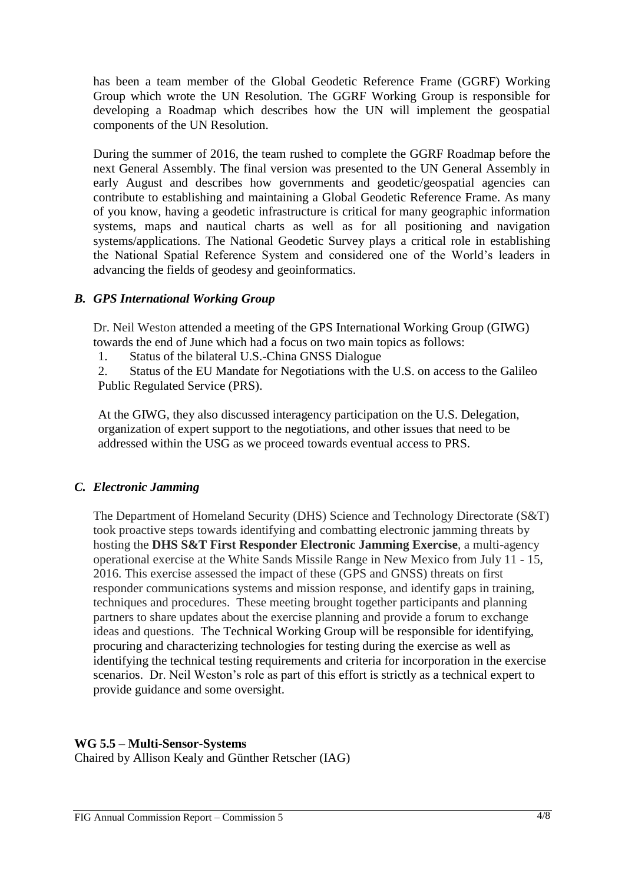has been a team member of the Global Geodetic Reference Frame (GGRF) Working Group which wrote the UN Resolution. The GGRF Working Group is responsible for developing a Roadmap which describes how the UN will implement the geospatial components of the UN Resolution.

During the summer of 2016, the team rushed to complete the GGRF Roadmap before the next General Assembly. The final version was presented to the UN General Assembly in early August and describes how governments and geodetic/geospatial agencies can contribute to establishing and maintaining a Global Geodetic Reference Frame. As many of you know, having a geodetic infrastructure is critical for many geographic information systems, maps and nautical charts as well as for all positioning and navigation systems/applications. The National Geodetic Survey plays a critical role in establishing the National Spatial Reference System and considered one of the World's leaders in advancing the fields of geodesy and geoinformatics.

#### *B. GPS International Working Group*

Dr. Neil Weston attended a meeting of the GPS International Working Group (GIWG) towards the end of June which had a focus on two main topics as follows:

1. Status of the bilateral U.S.-China GNSS Dialogue

2. Status of the EU Mandate for Negotiations with the U.S. on access to the Galileo Public Regulated Service (PRS).

At the GIWG, they also discussed interagency participation on the U.S. Delegation, organization of expert support to the negotiations, and other issues that need to be addressed within the USG as we proceed towards eventual access to PRS.

## *C. Electronic Jamming*

The Department of Homeland Security (DHS) Science and Technology Directorate (S&T) took proactive steps towards identifying and combatting electronic jamming threats by hosting the **DHS S&T First Responder Electronic Jamming Exercise**, a multi-agency operational exercise at the White Sands Missile Range in New Mexico from July 11 - 15, 2016. This exercise assessed the impact of these (GPS and GNSS) threats on first responder communications systems and mission response, and identify gaps in training, techniques and procedures. These meeting brought together participants and planning partners to share updates about the exercise planning and provide a forum to exchange ideas and questions. The Technical Working Group will be responsible for identifying, procuring and characterizing technologies for testing during the exercise as well as identifying the technical testing requirements and criteria for incorporation in the exercise scenarios. Dr. Neil Weston's role as part of this effort is strictly as a technical expert to provide guidance and some oversight.

## **WG 5.5 – Multi-Sensor-Systems**

Chaired by Allison Kealy and Günther Retscher (IAG)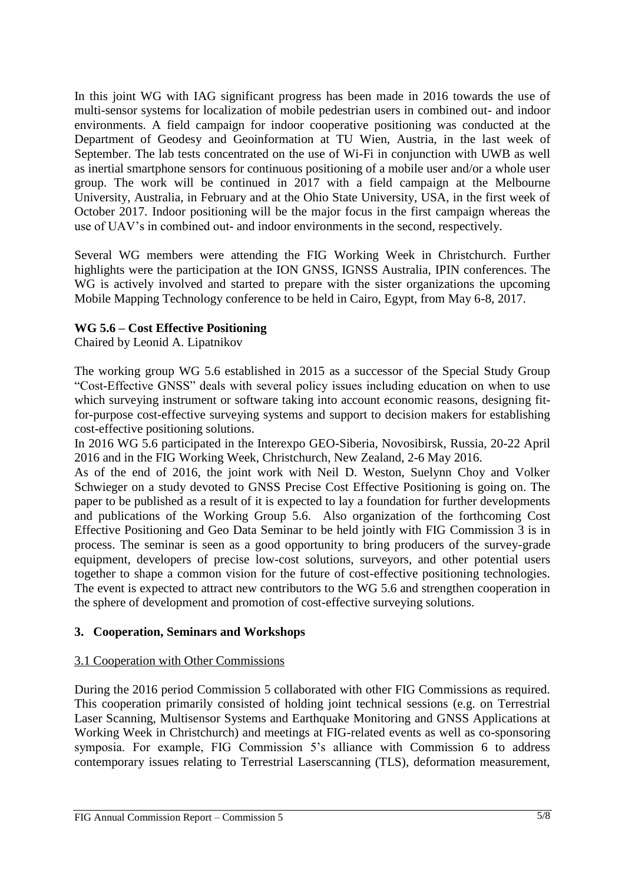In this joint WG with IAG significant progress has been made in 2016 towards the use of multi-sensor systems for localization of mobile pedestrian users in combined out- and indoor environments. A field campaign for indoor cooperative positioning was conducted at the Department of Geodesy and Geoinformation at TU Wien, Austria, in the last week of September. The lab tests concentrated on the use of Wi-Fi in conjunction with UWB as well as inertial smartphone sensors for continuous positioning of a mobile user and/or a whole user group. The work will be continued in 2017 with a field campaign at the Melbourne University, Australia, in February and at the Ohio State University, USA, in the first week of October 2017. Indoor positioning will be the major focus in the first campaign whereas the use of UAV's in combined out- and indoor environments in the second, respectively.

Several WG members were attending the FIG Working Week in Christchurch. Further highlights were the participation at the ION GNSS, IGNSS Australia, IPIN conferences. The WG is actively involved and started to prepare with the sister organizations the upcoming Mobile Mapping Technology conference to be held in Cairo, Egypt, from May 6-8, 2017.

## **WG 5.6 – Cost Effective Positioning**

Chaired by Leonid A. Lipatnikov

The working group WG 5.6 established in 2015 as a successor of the Special Study Group "Cost-Effective GNSS" deals with several policy issues including education on when to use which surveying instrument or software taking into account economic reasons, designing fitfor-purpose cost-effective surveying systems and support to decision makers for establishing cost-effective positioning solutions.

In 2016 WG 5.6 participated in the Interexpo GEO-Siberia, Novosibirsk, Russia, 20-22 April 2016 and in the FIG Working Week, Christchurch, New Zealand, 2-6 May 2016.

As of the end of 2016, the joint work with Neil D. Weston, Suelynn Choy and Volker Schwieger on a study devoted to GNSS Precise Cost Effective Positioning is going on. The paper to be published as a result of it is expected to lay a foundation for further developments and publications of the Working Group 5.6. Also organization of the forthcoming [Cost](http://sgugit.ru/en/geo-siberia/Cost%20Effective%20Positioning%20and%20Geo%20Data%20Seminar.pdf)  [Effective Positioning and Geo Data Seminar](http://sgugit.ru/en/geo-siberia/Cost%20Effective%20Positioning%20and%20Geo%20Data%20Seminar.pdf) to be held jointly with FIG Commission 3 is in process. The seminar is seen as a good opportunity to bring producers of the survey-grade equipment, developers of precise low-cost solutions, surveyors, and other potential users together to shape a common vision for the future of cost-effective positioning technologies. The event is expected to attract new contributors to the WG 5.6 and strengthen cooperation in the sphere of development and promotion of cost-effective surveying solutions.

## **3. Cooperation, Seminars and Workshops**

#### 3.1 Cooperation with Other Commissions

During the 2016 period Commission 5 collaborated with other FIG Commissions as required. This cooperation primarily consisted of holding joint technical sessions (e.g. on Terrestrial Laser Scanning, Multisensor Systems and Earthquake Monitoring and GNSS Applications at Working Week in Christchurch) and meetings at FIG-related events as well as co-sponsoring symposia. For example, FIG Commission 5's alliance with Commission 6 to address contemporary issues relating to Terrestrial Laserscanning (TLS), deformation measurement,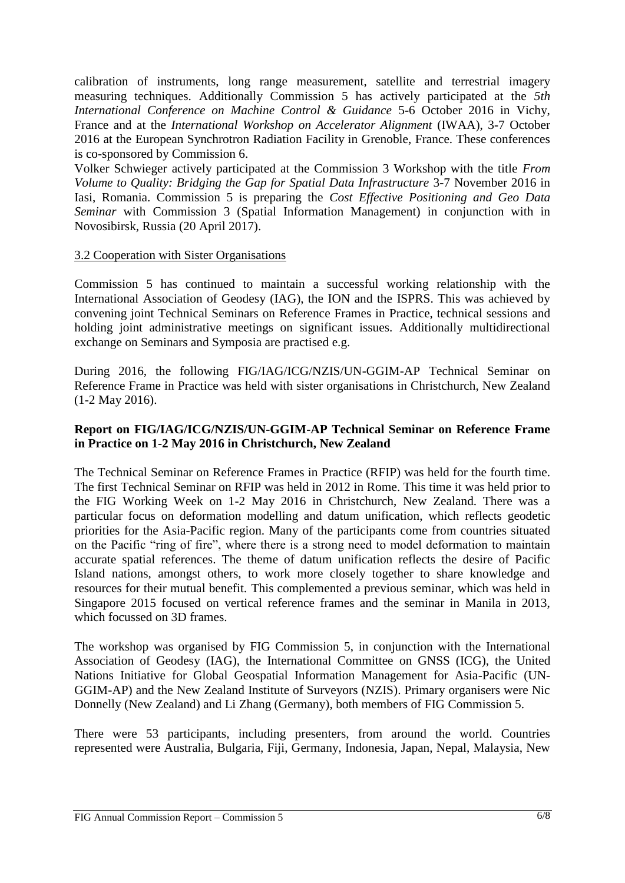calibration of instruments, long range measurement, satellite and terrestrial imagery measuring techniques. Additionally Commission 5 has actively participated at the *5th International Conference on Machine Control & Guidance* 5-6 October 2016 in Vichy, France and at the *International Workshop on Accelerator Alignment* (IWAA), 3-7 October 2016 at the European Synchrotron Radiation Facility in Grenoble, France. These conferences is co-sponsored by Commission 6.

Volker Schwieger actively participated at the Commission 3 Workshop with the title *From Volume to Quality: Bridging the Gap for Spatial Data Infrastructure* 3-7 November 2016 in Iasi, Romania. Commission 5 is preparing the *Cost Effective Positioning and Geo Data Seminar* with Commission 3 (Spatial Information Management) in conjunction with in Novosibirsk, Russia (20 April 2017).

## 3.2 Cooperation with Sister Organisations

Commission 5 has continued to maintain a successful working relationship with the International Association of Geodesy (IAG), the ION and the ISPRS. This was achieved by convening joint Technical Seminars on Reference Frames in Practice, technical sessions and holding joint administrative meetings on significant issues. Additionally multidirectional exchange on Seminars and Symposia are practised e.g.

During 2016, the following FIG/IAG/ICG/NZIS/UN-GGIM-AP Technical Seminar on Reference Frame in Practice was held with sister organisations in Christchurch, New Zealand (1-2 May 2016).

## **Report on FIG/IAG/ICG/NZIS/UN-GGIM-AP Technical Seminar on Reference Frame in Practice on 1-2 May 2016 in Christchurch, New Zealand**

The Technical Seminar on Reference Frames in Practice (RFIP) was held for the fourth time. The first Technical Seminar on RFIP was held in 2012 in Rome. This time it was held prior to the FIG Working Week on 1-2 May 2016 in Christchurch, New Zealand. There was a particular focus on deformation modelling and datum unification, which reflects geodetic priorities for the Asia-Pacific region. Many of the participants come from countries situated on the Pacific "ring of fire", where there is a strong need to model deformation to maintain accurate spatial references. The theme of datum unification reflects the desire of Pacific Island nations, amongst others, to work more closely together to share knowledge and resources for their mutual benefit. This complemented a previous seminar, which was held in Singapore 2015 focused on vertical reference frames and the seminar in Manila in 2013, which focussed on 3D frames.

The workshop was organised by FIG Commission 5, in conjunction with the International Association of Geodesy (IAG), the International Committee on GNSS (ICG), the United Nations Initiative for Global Geospatial Information Management for Asia-Pacific (UN-GGIM-AP) and the New Zealand Institute of Surveyors (NZIS). Primary organisers were Nic Donnelly (New Zealand) and Li Zhang (Germany), both members of FIG Commission 5.

There were 53 participants, including presenters, from around the world. Countries represented were Australia, Bulgaria, Fiji, Germany, Indonesia, Japan, Nepal, Malaysia, New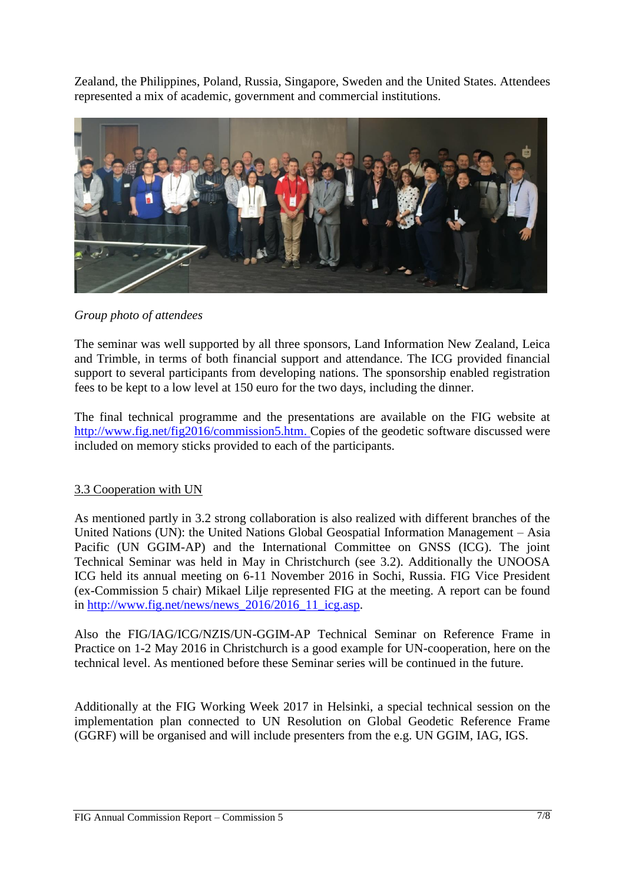Zealand, the Philippines, Poland, Russia, Singapore, Sweden and the United States. Attendees represented a mix of academic, government and commercial institutions.



*Group photo of attendees*

The seminar was well supported by all three sponsors, Land Information New Zealand, Leica and Trimble, in terms of both financial support and attendance. The ICG provided financial support to several participants from developing nations. The sponsorship enabled registration fees to be kept to a low level at 150 euro for the two days, including the dinner.

The final technical programme and the presentations are available on the FIG website at [http://www.fig.net/fig2016/commission5.htm.](http://www.fig.net/fig2016/commission5.htm) Copies of the geodetic software discussed were included on memory sticks provided to each of the participants.

## 3.3 Cooperation with UN

As mentioned partly in 3.2 strong collaboration is also realized with different branches of the United Nations (UN): the United Nations Global Geospatial Information Management – Asia Pacific (UN GGIM-AP) and the International Committee on GNSS (ICG). The joint Technical Seminar was held in May in Christchurch (see 3.2). Additionally the UNOOSA ICG held its annual meeting on 6-11 November 2016 in Sochi, Russia. FIG Vice President (ex-Commission 5 chair) Mikael Lilje represented FIG at the meeting. A report can be found in http://www.fig.net/news/news  $2016/2016$  11 icg.asp.

Also the FIG/IAG/ICG/NZIS/UN-GGIM-AP Technical Seminar on Reference Frame in Practice on 1-2 May 2016 in Christchurch is a good example for UN-cooperation, here on the technical level. As mentioned before these Seminar series will be continued in the future.

Additionally at the FIG Working Week 2017 in Helsinki, a special technical session on the implementation plan connected to UN Resolution on Global Geodetic Reference Frame (GGRF) will be organised and will include presenters from the e.g. UN GGIM, IAG, IGS.